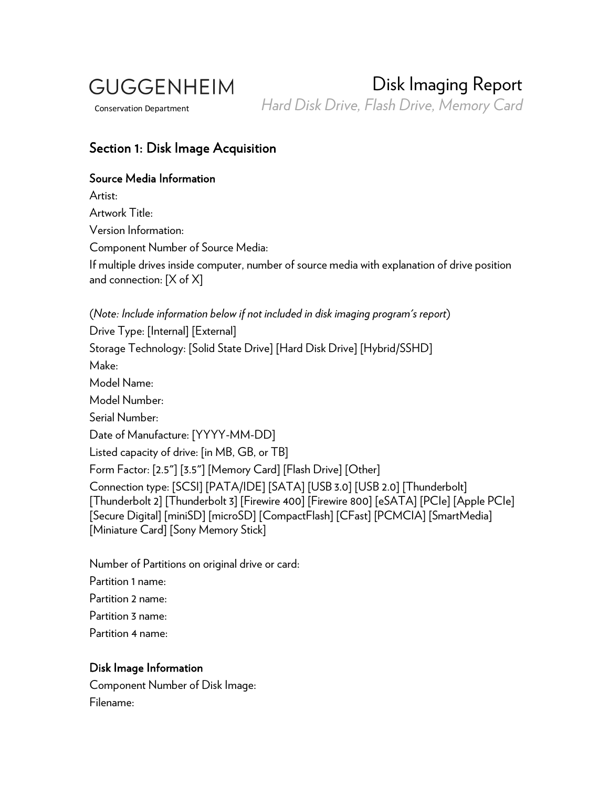**GUGGENHEIM** 

Disk Imaging Report Conservation Department *Hard Disk Drive, Flash Drive, Memory Card*

## Section 1: Disk Image Acquisition

#### Source Media Information

Artist: Artwork Title: Version Information: Component Number of Source Media: If multiple drives inside computer, number of source media with explanation of drive position and connection: [X of X]

(*Note: Include information below if not included in disk imaging program's report*) Drive Type: [Internal] [External] Storage Technology: [Solid State Drive] [Hard Disk Drive] [Hybrid/SSHD] Make: Model Name: Model Number: Serial Number: Date of Manufacture: [YYYY-MM-DD] Listed capacity of drive: [in MB, GB, or TB] Form Factor: [2.5"] [3.5"] [Memory Card] [Flash Drive] [Other] Connection type: [SCSI] [PATA/IDE] [SATA] [USB 3.0] [USB 2.0] [Thunderbolt] [Thunderbolt 2] [Thunderbolt 3] [Firewire 400] [Firewire 800] [eSATA] [PCIe] [Apple PCIe] [Secure Digital] [miniSD] [microSD] [CompactFlash] [CFast] [PCMCIA] [SmartMedia] [Miniature Card] [Sony Memory Stick]

Number of Partitions on original drive or card:

Partition 1 name:

Partition 2 name:

Partition 3 name:

Partition 4 name:

# Disk Image Information

Component Number of Disk Image: Filename: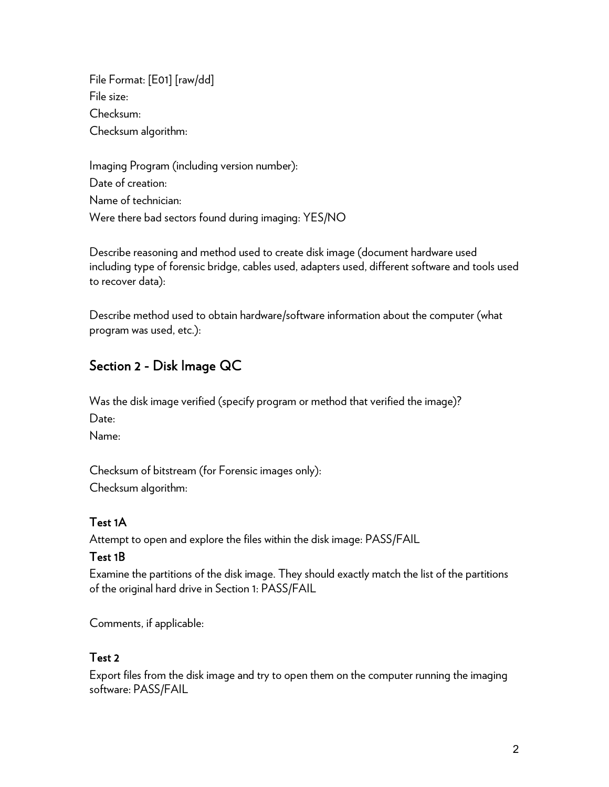File Format: [E01] [raw/dd] File size: Checksum: Checksum algorithm:

Imaging Program (including version number): Date of creation: Name of technician: Were there bad sectors found during imaging: YES/NO

Describe reasoning and method used to create disk image (document hardware used including type of forensic bridge, cables used, adapters used, different software and tools used to recover data):

Describe method used to obtain hardware/software information about the computer (what program was used, etc.):

# Section 2 - Disk Image QC

Was the disk image verified (specify program or method that verified the image)? Date:

Name:

Checksum of bitstream (for Forensic images only): Checksum algorithm:

# Test 1A

Attempt to open and explore the files within the disk image: PASS/FAIL

### Test 1B

Examine the partitions of the disk image. They should exactly match the list of the partitions of the original hard drive in Section 1: PASS/FAIL

Comments, if applicable:

### Test 2

Export files from the disk image and try to open them on the computer running the imaging software: PASS/FAIL